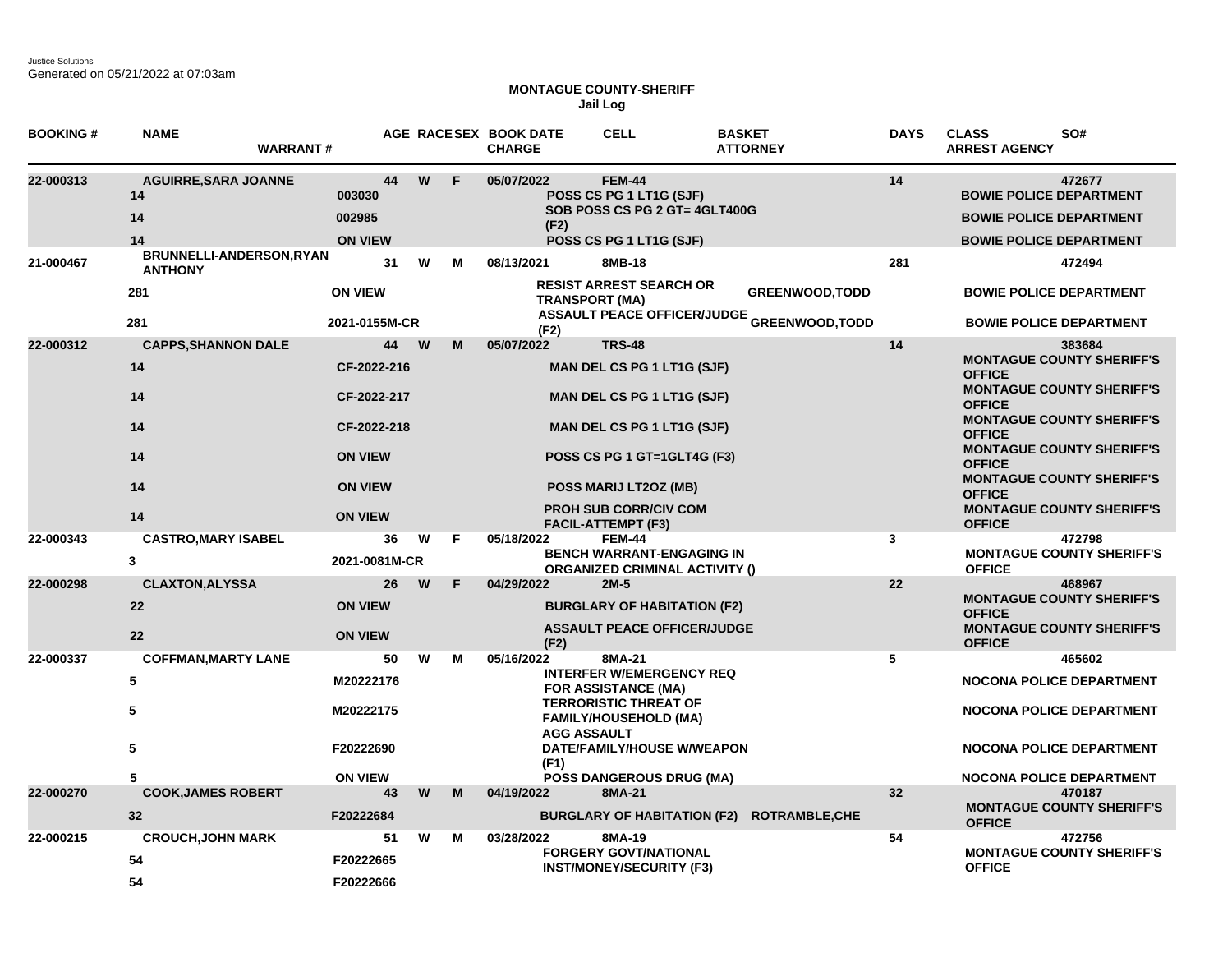Justice Solutions Generated on 05/21/2022 at 07:03am

## **MONTAGUE COUNTY-SHERIFF Jail Log**

| <b>BOOKING#</b> | <b>NAME</b><br><b>WARRANT#</b>                |                                          |        | AGE RACESEX BOOK DATE<br><b>CHARGE</b> | <b>CELL</b>                                                                                          | <b>BASKET</b><br><b>ATTORNEY</b>                                                       | <b>DAYS</b> | <b>CLASS</b><br>SO#<br><b>ARREST AGENCY</b>                                                                  |
|-----------------|-----------------------------------------------|------------------------------------------|--------|----------------------------------------|------------------------------------------------------------------------------------------------------|----------------------------------------------------------------------------------------|-------------|--------------------------------------------------------------------------------------------------------------|
| 22-000313       | <b>AGUIRRE, SARA JOANNE</b><br>14<br>14<br>14 | 44<br>003030<br>002985<br><b>ON VIEW</b> | W<br>F | 05/07/2022<br>(F2)                     | <b>FEM-44</b><br>POSS CS PG 1 LT1G (SJF)<br>SOB POSS CS PG 2 GT= 4GLT400G<br>POSS CS PG 1 LT1G (SJF) |                                                                                        | 14          | 472677<br><b>BOWIE POLICE DEPARTMENT</b><br><b>BOWIE POLICE DEPARTMENT</b><br><b>BOWIE POLICE DEPARTMENT</b> |
| 21-000467       | BRUNNELLI-ANDERSON, RYAN<br><b>ANTHONY</b>    | 31                                       | W<br>М | 08/13/2021                             | 8MB-18<br><b>RESIST ARREST SEARCH OR</b>                                                             |                                                                                        | 281         | 472494                                                                                                       |
|                 | 281<br>281                                    | <b>ON VIEW</b><br>2021-0155M-CR          |        |                                        | <b>TRANSPORT (MA)</b>                                                                                | <b>GREENWOOD, TODD</b><br><b>ASSAULT PEACE OFFICER/JUDGE <sub>GREENWOOD,TODD</sub></b> |             | <b>BOWIE POLICE DEPARTMENT</b><br><b>BOWIE POLICE DEPARTMENT</b>                                             |
| 22-000312       | <b>CAPPS, SHANNON DALE</b>                    | 44                                       | W<br>M | (F2)<br>05/07/2022                     | <b>TRS-48</b>                                                                                        |                                                                                        | 14          | 383684                                                                                                       |
|                 | 14                                            | CF-2022-216                              |        |                                        | <b>MAN DEL CS PG 1 LT1G (SJF)</b>                                                                    |                                                                                        |             | <b>MONTAGUE COUNTY SHERIFF'S</b><br><b>OFFICE</b>                                                            |
|                 | 14                                            | CF-2022-217                              |        |                                        | <b>MAN DEL CS PG 1 LT1G (SJF)</b>                                                                    |                                                                                        |             | <b>MONTAGUE COUNTY SHERIFF'S</b><br><b>OFFICE</b><br><b>MONTAGUE COUNTY SHERIFF'S</b>                        |
|                 | 14<br>14                                      | CF-2022-218<br><b>ON VIEW</b>            |        |                                        | <b>MAN DEL CS PG 1 LT1G (SJF)</b><br>POSS CS PG 1 GT=1GLT4G (F3)                                     |                                                                                        |             | <b>OFFICE</b><br><b>MONTAGUE COUNTY SHERIFF'S</b>                                                            |
|                 |                                               |                                          |        |                                        |                                                                                                      |                                                                                        |             | <b>OFFICE</b>                                                                                                |
|                 | 14                                            | <b>ON VIEW</b>                           |        |                                        | POSS MARIJ LT2OZ (MB)<br><b>PROH SUB CORR/CIV COM</b>                                                |                                                                                        |             | <b>MONTAGUE COUNTY SHERIFF'S</b><br><b>OFFICE</b><br><b>MONTAGUE COUNTY SHERIFF'S</b>                        |
|                 | 14                                            | <b>ON VIEW</b>                           |        |                                        | <b>FACIL-ATTEMPT (F3)</b>                                                                            |                                                                                        |             | <b>OFFICE</b>                                                                                                |
| 22-000343       | <b>CASTRO, MARY ISABEL</b><br>3               | 36<br>2021-0081M-CR                      | W<br>F | 05/18/2022                             | <b>FEM-44</b><br><b>BENCH WARRANT-ENGAGING IN</b><br><b>ORGANIZED CRIMINAL ACTIVITY ()</b>           |                                                                                        | 3           | 472798<br><b>MONTAGUE COUNTY SHERIFF'S</b><br><b>OFFICE</b>                                                  |
| 22-000298       | <b>CLAXTON, ALYSSA</b>                        | 26                                       | W<br>F | 04/29/2022                             | $2M-5$                                                                                               |                                                                                        | 22          | 468967                                                                                                       |
|                 | 22                                            | <b>ON VIEW</b>                           |        |                                        | <b>BURGLARY OF HABITATION (F2)</b>                                                                   |                                                                                        |             | <b>MONTAGUE COUNTY SHERIFF'S</b><br><b>OFFICE</b>                                                            |
|                 | 22                                            | <b>ON VIEW</b>                           |        | (F2)                                   | <b>ASSAULT PEACE OFFICER/JUDGE</b>                                                                   |                                                                                        |             | <b>MONTAGUE COUNTY SHERIFF'S</b><br><b>OFFICE</b>                                                            |
| 22-000337       | <b>COFFMAN, MARTY LANE</b>                    | 50                                       | w<br>м | 05/16/2022                             | 8MA-21                                                                                               |                                                                                        | 5           | 465602                                                                                                       |
|                 | 5                                             | M20222176                                |        |                                        | <b>INTERFER W/EMERGENCY REQ</b><br><b>FOR ASSISTANCE (MA)</b>                                        |                                                                                        |             | <b>NOCONA POLICE DEPARTMENT</b>                                                                              |
|                 | 5                                             | M20222175                                |        |                                        | <b>TERRORISTIC THREAT OF</b><br><b>FAMILY/HOUSEHOLD (MA)</b><br><b>AGG ASSAULT</b>                   |                                                                                        |             | <b>NOCONA POLICE DEPARTMENT</b>                                                                              |
|                 | 5                                             | F20222690                                |        | (F1)                                   | DATE/FAMILY/HOUSE W/WEAPON                                                                           |                                                                                        |             | <b>NOCONA POLICE DEPARTMENT</b>                                                                              |
|                 | 5                                             | <b>ON VIEW</b>                           |        |                                        | <b>POSS DANGEROUS DRUG (MA)</b>                                                                      |                                                                                        |             | <b>NOCONA POLICE DEPARTMENT</b>                                                                              |
| 22-000270       | <b>COOK, JAMES ROBERT</b><br>32               | 43<br>F20222684                          | W<br>M | 04/19/2022                             | 8MA-21                                                                                               | BURGLARY OF HABITATION (F2) ROTRAMBLE, CHE                                             | 32          | 470187<br><b>MONTAGUE COUNTY SHERIFF'S</b><br><b>OFFICE</b>                                                  |
| 22-000215       | <b>CROUCH, JOHN MARK</b>                      | 51                                       | W<br>м | 03/28/2022                             | 8MA-19                                                                                               |                                                                                        | 54          | 472756                                                                                                       |
|                 | 54                                            | F20222665                                |        |                                        | <b>FORGERY GOVT/NATIONAL</b><br><b>INST/MONEY/SECURITY (F3)</b>                                      |                                                                                        |             | <b>MONTAGUE COUNTY SHERIFF'S</b><br><b>OFFICE</b>                                                            |
|                 | 54                                            | F20222666                                |        |                                        |                                                                                                      |                                                                                        |             |                                                                                                              |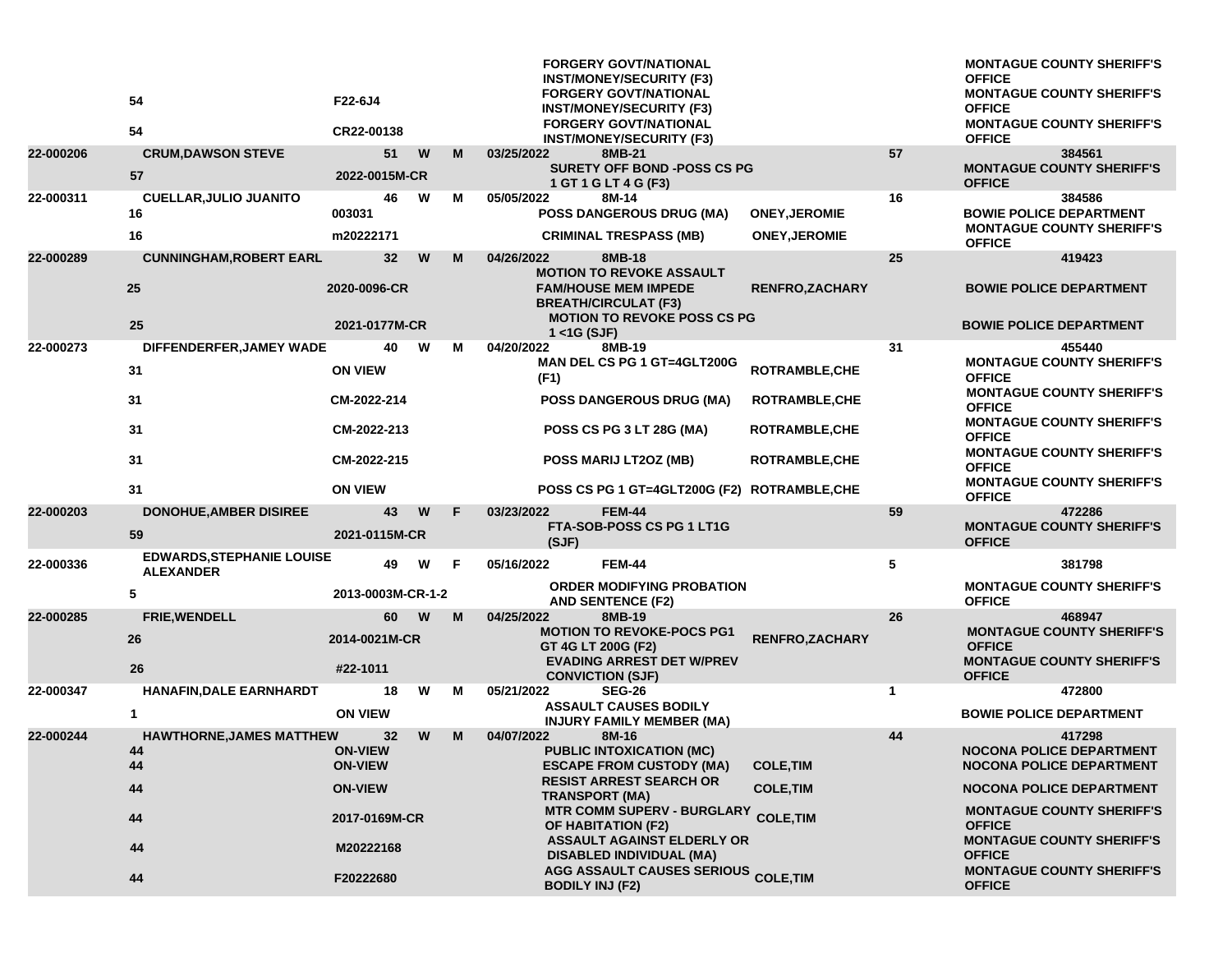|           | 54<br>54                                             | F22-6J4<br>CR22-00138                               |   |   | <b>FORGERY GOVT/NATIONAL</b><br><b>INST/MONEY/SECURITY (F3)</b><br><b>FORGERY GOVT/NATIONAL</b><br><b>INST/MONEY/SECURITY (F3)</b><br><b>FORGERY GOVT/NATIONAL</b><br><b>INST/MONEY/SECURITY (F3)</b> |                        |    | <b>MONTAGUE COUNTY SHERIFF'S</b><br><b>OFFICE</b><br><b>MONTAGUE COUNTY SHERIFF'S</b><br><b>OFFICE</b><br><b>MONTAGUE COUNTY SHERIFF'S</b><br><b>OFFICE</b> |
|-----------|------------------------------------------------------|-----------------------------------------------------|---|---|-------------------------------------------------------------------------------------------------------------------------------------------------------------------------------------------------------|------------------------|----|-------------------------------------------------------------------------------------------------------------------------------------------------------------|
| 22-000206 | <b>CRUM, DAWSON STEVE</b>                            | 51                                                  | W | M | 03/25/2022<br>8MB-21                                                                                                                                                                                  |                        | 57 | 384561                                                                                                                                                      |
|           | 57                                                   | 2022-0015M-CR                                       |   |   | <b>SURETY OFF BOND -POSS CS PG</b><br>1 GT 1 G LT 4 G (F3)                                                                                                                                            |                        |    | <b>MONTAGUE COUNTY SHERIFF'S</b><br><b>OFFICE</b>                                                                                                           |
| 22-000311 | <b>CUELLAR, JULIO JUANITO</b><br>16                  | 46<br>003031                                        | W | М | 05/05/2022<br>8M-14<br><b>POSS DANGEROUS DRUG (MA)</b>                                                                                                                                                | <b>ONEY, JEROMIE</b>   | 16 | 384586<br><b>BOWIE POLICE DEPARTMENT</b>                                                                                                                    |
|           | 16                                                   | m20222171                                           |   |   | <b>CRIMINAL TRESPASS (MB)</b>                                                                                                                                                                         | <b>ONEY, JEROMIE</b>   |    | <b>MONTAGUE COUNTY SHERIFF'S</b><br><b>OFFICE</b>                                                                                                           |
| 22-000289 | <b>CUNNINGHAM, ROBERT EARL</b><br>25                 | 32 <sub>2</sub><br>2020-0096-CR                     | W | M | 04/26/2022<br>8MB-18<br><b>MOTION TO REVOKE ASSAULT</b><br><b>FAM/HOUSE MEM IMPEDE</b>                                                                                                                | <b>RENFRO, ZACHARY</b> | 25 | 419423<br><b>BOWIE POLICE DEPARTMENT</b>                                                                                                                    |
|           | 25                                                   | 2021-0177M-CR                                       |   |   | <b>BREATH/CIRCULAT (F3)</b><br><b>MOTION TO REVOKE POSS CS PG</b>                                                                                                                                     |                        |    | <b>BOWIE POLICE DEPARTMENT</b>                                                                                                                              |
| 22-000273 | DIFFENDERFER, JAMEY WADE                             | 40                                                  | W | М | $1 <$ 1G (SJF)<br>04/20/2022<br>8MB-19                                                                                                                                                                |                        | 31 | 455440                                                                                                                                                      |
|           | 31                                                   | <b>ON VIEW</b>                                      |   |   | MAN DEL CS PG 1 GT=4GLT200G<br>(F1)                                                                                                                                                                   | <b>ROTRAMBLE, CHE</b>  |    | <b>MONTAGUE COUNTY SHERIFF'S</b><br><b>OFFICE</b>                                                                                                           |
|           | 31                                                   | CM-2022-214                                         |   |   | <b>POSS DANGEROUS DRUG (MA)</b>                                                                                                                                                                       | <b>ROTRAMBLE, CHE</b>  |    | <b>MONTAGUE COUNTY SHERIFF'S</b><br><b>OFFICE</b>                                                                                                           |
|           | 31                                                   | CM-2022-213                                         |   |   | POSS CS PG 3 LT 28G (MA)                                                                                                                                                                              | <b>ROTRAMBLE,CHE</b>   |    | <b>MONTAGUE COUNTY SHERIFF'S</b><br><b>OFFICE</b>                                                                                                           |
|           | 31                                                   | CM-2022-215                                         |   |   | POSS MARIJ LT2OZ (MB)                                                                                                                                                                                 | ROTRAMBLE, CHE         |    | <b>MONTAGUE COUNTY SHERIFF'S</b><br><b>OFFICE</b>                                                                                                           |
|           | 31                                                   | <b>ON VIEW</b>                                      |   |   | POSS CS PG 1 GT=4GLT200G (F2) ROTRAMBLE, CHE                                                                                                                                                          |                        |    | <b>MONTAGUE COUNTY SHERIFF'S</b><br><b>OFFICE</b>                                                                                                           |
| 22-000203 | <b>DONOHUE, AMBER DISIREE</b><br>59                  | 43<br>2021-0115M-CR                                 | W | F | <b>FEM-44</b><br>03/23/2022<br>FTA-SOB-POSS CS PG 1 LT1G<br>(SJF)                                                                                                                                     |                        | 59 | 472286<br><b>MONTAGUE COUNTY SHERIFF'S</b><br><b>OFFICE</b>                                                                                                 |
| 22-000336 | <b>EDWARDS, STEPHANIE LOUISE</b><br><b>ALEXANDER</b> | 49                                                  | W | F | 05/16/2022<br><b>FEM-44</b>                                                                                                                                                                           |                        | 5  | 381798                                                                                                                                                      |
|           | 5                                                    | 2013-0003M-CR-1-2                                   |   |   | <b>ORDER MODIFYING PROBATION</b><br><b>AND SENTENCE (F2)</b>                                                                                                                                          |                        |    | <b>MONTAGUE COUNTY SHERIFF'S</b><br><b>OFFICE</b>                                                                                                           |
| 22-000285 | <b>FRIE, WENDELL</b><br>26                           | 60<br>2014-0021M-CR                                 | W | M | 04/25/2022<br>8MB-19<br><b>MOTION TO REVOKE-POCS PG1</b><br>GT 4G LT 200G (F2)<br><b>EVADING ARREST DET W/PREV</b>                                                                                    | RENFRO, ZACHARY        | 26 | 468947<br><b>MONTAGUE COUNTY SHERIFF'S</b><br><b>OFFICE</b><br><b>MONTAGUE COUNTY SHERIFF'S</b>                                                             |
|           | 26                                                   | #22-1011                                            |   |   | <b>CONVICTION (SJF)</b>                                                                                                                                                                               |                        |    | <b>OFFICE</b>                                                                                                                                               |
| 22-000347 | <b>HANAFIN, DALE EARNHARDT</b><br>1                  | 18<br><b>ON VIEW</b>                                | W | м | <b>SEG-26</b><br>05/21/2022<br><b>ASSAULT CAUSES BODILY</b><br><b>INJURY FAMILY MEMBER (MA)</b>                                                                                                       |                        | 1  | 472800<br><b>BOWIE POLICE DEPARTMENT</b>                                                                                                                    |
| 22-000244 | <b>HAWTHORNE, JAMES MATTHEW</b><br>44<br>44          | 32 <sub>2</sub><br><b>ON-VIEW</b><br><b>ON-VIEW</b> | W | M | 04/07/2022<br>8M-16<br><b>PUBLIC INTOXICATION (MC)</b><br><b>ESCAPE FROM CUSTODY (MA)</b>                                                                                                             | <b>COLE, TIM</b>       | 44 | 417298<br><b>NOCONA POLICE DEPARTMENT</b><br><b>NOCONA POLICE DEPARTMENT</b>                                                                                |
|           | 44                                                   | <b>ON-VIEW</b>                                      |   |   | <b>RESIST ARREST SEARCH OR</b><br><b>TRANSPORT (MA)</b>                                                                                                                                               | <b>COLE, TIM</b>       |    | <b>NOCONA POLICE DEPARTMENT</b>                                                                                                                             |
|           | 44                                                   | 2017-0169M-CR                                       |   |   | <b>MTR COMM SUPERV - BURGLARY</b><br>OF HABITATION (F2)                                                                                                                                               | <b>COLE, TIM</b>       |    | <b>MONTAGUE COUNTY SHERIFF'S</b><br><b>OFFICE</b>                                                                                                           |
|           | 44                                                   | M20222168                                           |   |   | <b>ASSAULT AGAINST ELDERLY OR</b><br><b>DISABLED INDIVIDUAL (MA)</b>                                                                                                                                  |                        |    | <b>MONTAGUE COUNTY SHERIFF'S</b><br><b>OFFICE</b>                                                                                                           |
|           | 44                                                   | F20222680                                           |   |   | <b>AGG ASSAULT CAUSES SERIOUS COLE, TIM</b><br><b>BODILY INJ (F2)</b>                                                                                                                                 |                        |    | <b>MONTAGUE COUNTY SHERIFF'S</b><br><b>OFFICE</b>                                                                                                           |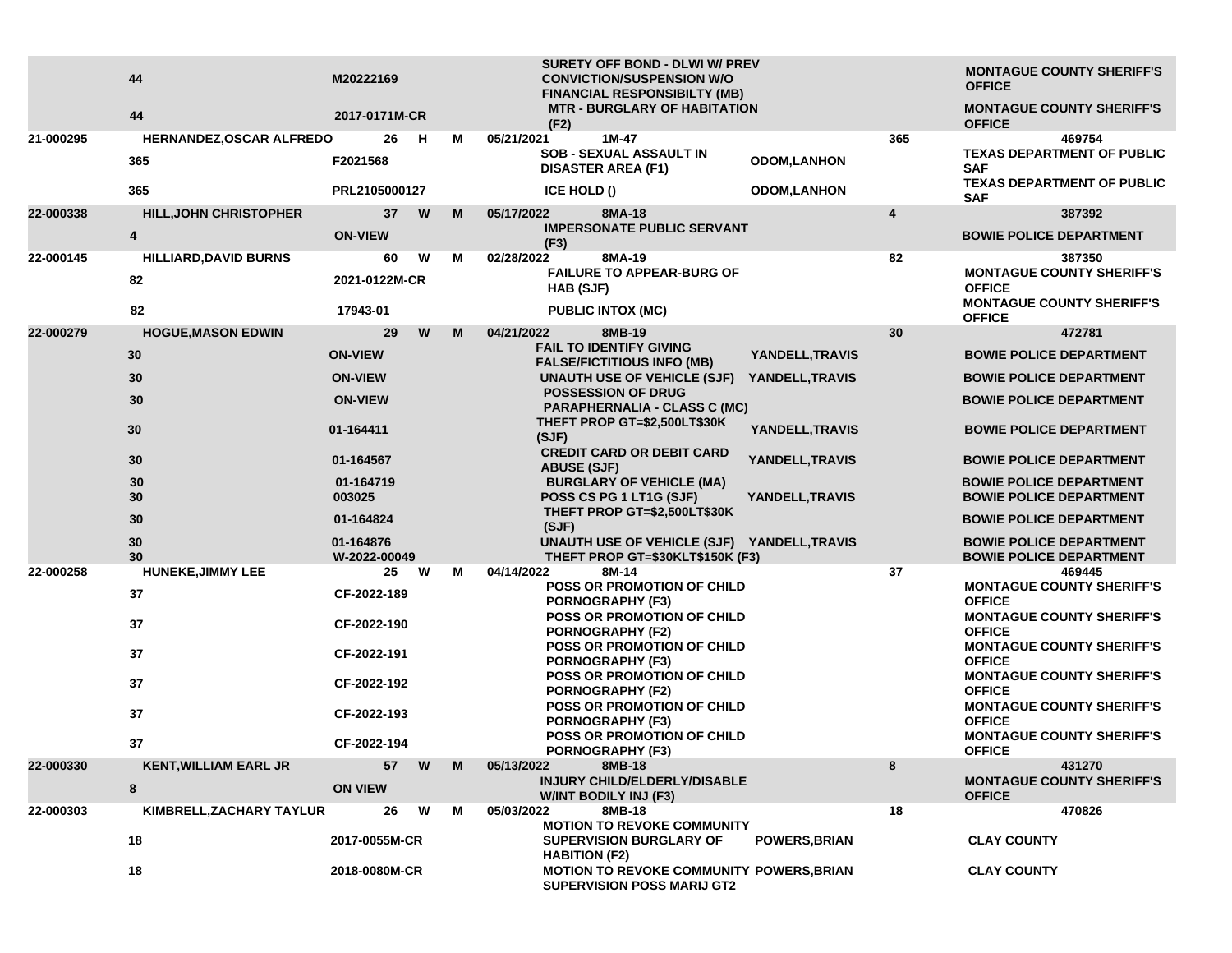|           | 44<br>44                      | M20222169<br>2017-0171M-CR |    |   |   | SURETY OFF BOND - DLWI W/ PREV<br><b>CONVICTION/SUSPENSION W/O</b><br><b>FINANCIAL RESPONSIBILTY (MB)</b><br><b>MTR - BURGLARY OF HABITATION</b> |                      |     | <b>MONTAGUE COUNTY SHERIFF'S</b><br><b>OFFICE</b><br><b>MONTAGUE COUNTY SHERIFF'S</b> |
|-----------|-------------------------------|----------------------------|----|---|---|--------------------------------------------------------------------------------------------------------------------------------------------------|----------------------|-----|---------------------------------------------------------------------------------------|
| 21-000295 | HERNANDEZ, OSCAR ALFREDO      |                            | 26 | н | М | (F2)<br>05/21/2021<br>$1M-47$                                                                                                                    |                      | 365 | <b>OFFICE</b><br>469754                                                               |
|           | 365                           | F2021568                   |    |   |   | <b>SOB - SEXUAL ASSAULT IN</b><br><b>DISASTER AREA (F1)</b>                                                                                      | <b>ODOM,LANHON</b>   |     | <b>TEXAS DEPARTMENT OF PUBLIC</b><br><b>SAF</b>                                       |
|           | 365                           | PRL2105000127              |    |   |   | ICE HOLD ()                                                                                                                                      | <b>ODOM,LANHON</b>   |     | TEXAS DEPARTMENT OF PUBLIC<br><b>SAF</b>                                              |
| 22-000338 | <b>HILL, JOHN CHRISTOPHER</b> |                            | 37 | W | M | 8MA-18<br>05/17/2022                                                                                                                             |                      | 4   | 387392                                                                                |
|           | 4                             | <b>ON-VIEW</b>             |    |   |   | <b>IMPERSONATE PUBLIC SERVANT</b><br>(F3)                                                                                                        |                      |     | <b>BOWIE POLICE DEPARTMENT</b>                                                        |
| 22-000145 | <b>HILLIARD, DAVID BURNS</b>  |                            | 60 | W | м | 02/28/2022<br>8MA-19                                                                                                                             |                      | 82  | 387350                                                                                |
|           | 82                            | 2021-0122M-CR              |    |   |   | <b>FAILURE TO APPEAR-BURG OF</b><br>HAB (SJF)                                                                                                    |                      |     | <b>MONTAGUE COUNTY SHERIFF'S</b><br><b>OFFICE</b>                                     |
|           | 82                            | 17943-01                   |    |   |   | <b>PUBLIC INTOX (MC)</b>                                                                                                                         |                      |     | <b>MONTAGUE COUNTY SHERIFF'S</b><br><b>OFFICE</b>                                     |
| 22-000279 | <b>HOGUE, MASON EDWIN</b>     |                            | 29 | W | M | 04/21/2022<br>8MB-19                                                                                                                             |                      | 30  | 472781                                                                                |
|           | 30                            | <b>ON-VIEW</b>             |    |   |   | <b>FAIL TO IDENTIFY GIVING</b><br><b>FALSE/FICTITIOUS INFO (MB)</b>                                                                              | YANDELL, TRAVIS      |     | <b>BOWIE POLICE DEPARTMENT</b>                                                        |
|           | 30                            | <b>ON-VIEW</b>             |    |   |   | UNAUTH USE OF VEHICLE (SJF)                                                                                                                      | YANDELL, TRAVIS      |     | <b>BOWIE POLICE DEPARTMENT</b>                                                        |
|           | 30                            | <b>ON-VIEW</b>             |    |   |   | <b>POSSESSION OF DRUG</b><br><b>PARAPHERNALIA - CLASS C (MC)</b>                                                                                 |                      |     | <b>BOWIE POLICE DEPARTMENT</b>                                                        |
|           | 30                            | 01-164411                  |    |   |   | THEFT PROP GT=\$2,500LT\$30K<br>(SJF)                                                                                                            | YANDELL, TRAVIS      |     | <b>BOWIE POLICE DEPARTMENT</b>                                                        |
|           | 30                            | 01-164567                  |    |   |   | <b>CREDIT CARD OR DEBIT CARD</b><br><b>ABUSE (SJF)</b>                                                                                           | YANDELL, TRAVIS      |     | <b>BOWIE POLICE DEPARTMENT</b>                                                        |
|           | 30                            | 01-164719                  |    |   |   | <b>BURGLARY OF VEHICLE (MA)</b>                                                                                                                  |                      |     | <b>BOWIE POLICE DEPARTMENT</b>                                                        |
|           | 30                            | 003025                     |    |   |   | POSS CS PG 1 LT1G (SJF)<br>THEFT PROP GT=\$2,500LT\$30K                                                                                          | YANDELL, TRAVIS      |     | <b>BOWIE POLICE DEPARTMENT</b>                                                        |
|           | 30                            | 01-164824                  |    |   |   | (SJF)                                                                                                                                            |                      |     | <b>BOWIE POLICE DEPARTMENT</b>                                                        |
|           | 30<br>30                      | 01-164876<br>W-2022-00049  |    |   |   | UNAUTH USE OF VEHICLE (SJF) YANDELL, TRAVIS<br>THEFT PROP GT=\$30KLT\$150K (F3)                                                                  |                      |     | <b>BOWIE POLICE DEPARTMENT</b><br><b>BOWIE POLICE DEPARTMENT</b>                      |
| 22-000258 | <b>HUNEKE, JIMMY LEE</b>      |                            | 25 | W | м | 04/14/2022<br>8M-14                                                                                                                              |                      | 37  | 469445                                                                                |
|           | 37                            | CF-2022-189                |    |   |   | POSS OR PROMOTION OF CHILD<br><b>PORNOGRAPHY (F3)</b>                                                                                            |                      |     | <b>MONTAGUE COUNTY SHERIFF'S</b><br><b>OFFICE</b>                                     |
|           | 37                            | CF-2022-190                |    |   |   | POSS OR PROMOTION OF CHILD<br><b>PORNOGRAPHY (F2)</b>                                                                                            |                      |     | <b>MONTAGUE COUNTY SHERIFF'S</b><br><b>OFFICE</b>                                     |
|           | 37                            | CF-2022-191                |    |   |   | POSS OR PROMOTION OF CHILD<br><b>PORNOGRAPHY (F3)</b>                                                                                            |                      |     | <b>MONTAGUE COUNTY SHERIFF'S</b><br><b>OFFICE</b>                                     |
|           | 37                            | CF-2022-192                |    |   |   | <b>POSS OR PROMOTION OF CHILD</b><br><b>PORNOGRAPHY (F2)</b>                                                                                     |                      |     | <b>MONTAGUE COUNTY SHERIFF'S</b><br><b>OFFICE</b>                                     |
|           | 37                            | CF-2022-193                |    |   |   | <b>POSS OR PROMOTION OF CHILD</b><br>PORNOGRAPHY (F3)                                                                                            |                      |     | <b>MONTAGUE COUNTY SHERIFF'S</b><br><b>OFFICE</b>                                     |
|           | 37                            | CF-2022-194                |    |   |   | POSS OR PROMOTION OF CHILD<br><b>PORNOGRAPHY (F3)</b>                                                                                            |                      |     | <b>MONTAGUE COUNTY SHERIFF'S</b><br><b>OFFICE</b>                                     |
| 22-000330 | <b>KENT, WILLIAM EARL JR</b>  |                            | 57 | W | M | 05/13/2022<br>8MB-18                                                                                                                             |                      | 8   | 431270                                                                                |
|           | 8                             | <b>ON VIEW</b>             |    |   |   | INJURY CHILD/ELDERLY/DISABLE<br><b>W/INT BODILY INJ (F3)</b>                                                                                     |                      |     | <b>MONTAGUE COUNTY SHERIFF'S</b><br><b>OFFICE</b>                                     |
| 22-000303 | KIMBRELL, ZACHARY TAYLUR      |                            | 26 | W | М | 05/03/2022<br>8MB-18<br><b>MOTION TO REVOKE COMMUNITY</b>                                                                                        |                      | 18  | 470826                                                                                |
|           | 18                            | 2017-0055M-CR              |    |   |   | <b>SUPERVISION BURGLARY OF</b><br><b>HABITION (F2)</b>                                                                                           | <b>POWERS, BRIAN</b> |     | <b>CLAY COUNTY</b>                                                                    |
|           | 18                            | 2018-0080M-CR              |    |   |   | MOTION TO REVOKE COMMUNITY POWERS, BRIAN<br><b>SUPERVISION POSS MARIJ GT2</b>                                                                    |                      |     | <b>CLAY COUNTY</b>                                                                    |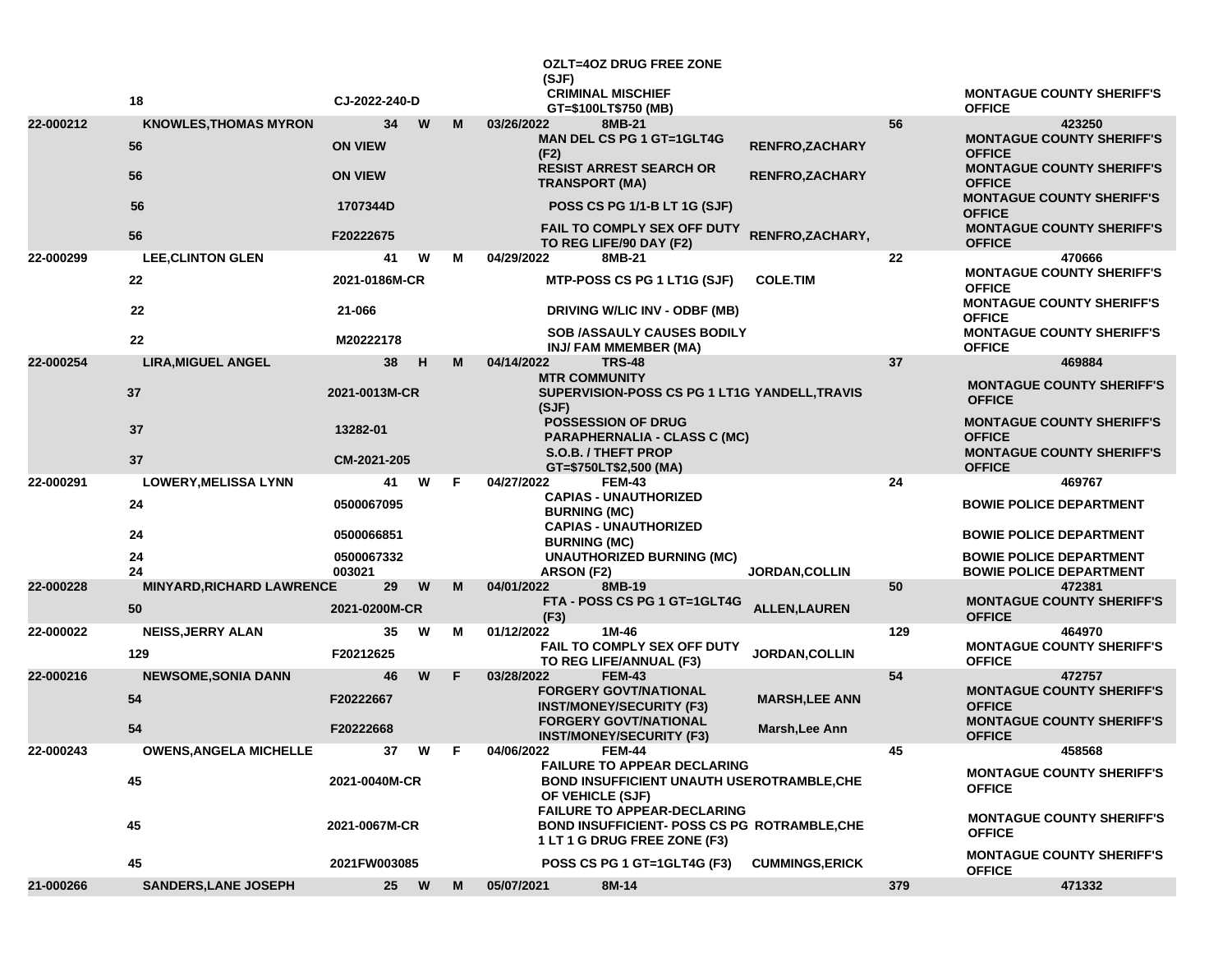|           | 18                                 | CJ-2022-240-D        |      |    | (SJF)                         | <b>OZLT=4OZ DRUG FREE ZONE</b><br><b>CRIMINAL MISCHIEF</b>                                                                |                        |     | <b>MONTAGUE COUNTY SHERIFF'S</b>                                                      |
|-----------|------------------------------------|----------------------|------|----|-------------------------------|---------------------------------------------------------------------------------------------------------------------------|------------------------|-----|---------------------------------------------------------------------------------------|
|           |                                    |                      |      |    |                               | GT=\$100LT\$750 (MB)                                                                                                      |                        |     | <b>OFFICE</b>                                                                         |
| 22-000212 | <b>KNOWLES, THOMAS MYRON</b><br>56 | 34<br><b>ON VIEW</b> | W    | м  | 03/26/2022<br>(F2)            | 8MB-21<br><b>MAN DEL CS PG 1 GT=1GLT4G</b>                                                                                | <b>RENFRO,ZACHARY</b>  | 56  | 423250<br><b>MONTAGUE COUNTY SHERIFF'S</b><br><b>OFFICE</b>                           |
|           | 56                                 | <b>ON VIEW</b>       |      |    | <b>TRANSPORT (MA)</b>         | <b>RESIST ARREST SEARCH OR</b>                                                                                            | RENFRO, ZACHARY        |     | <b>MONTAGUE COUNTY SHERIFF'S</b><br><b>OFFICE</b>                                     |
|           | 56                                 | 1707344D             |      |    |                               | <b>POSS CS PG 1/1-B LT 1G (SJF)</b>                                                                                       |                        |     | <b>MONTAGUE COUNTY SHERIFF'S</b><br><b>OFFICE</b>                                     |
|           | 56                                 | F20222675            |      |    |                               | FAIL TO COMPLY SEX OFF DUTY<br>TO REG LIFE/90 DAY (F2)                                                                    | RENFRO, ZACHARY,       |     | <b>MONTAGUE COUNTY SHERIFF'S</b><br><b>OFFICE</b>                                     |
| 22-000299 | <b>LEE, CLINTON GLEN</b>           | 41                   | W    | м  | 04/29/2022                    | 8MB-21                                                                                                                    |                        | 22  | 470666                                                                                |
|           | 22                                 | 2021-0186M-CR        |      |    |                               | MTP-POSS CS PG 1 LT1G (SJF)                                                                                               | <b>COLE.TIM</b>        |     | <b>MONTAGUE COUNTY SHERIFF'S</b><br><b>OFFICE</b><br><b>MONTAGUE COUNTY SHERIFF'S</b> |
|           | 22                                 | 21-066               |      |    |                               | DRIVING W/LIC INV - ODBF (MB)                                                                                             |                        |     | <b>OFFICE</b>                                                                         |
|           | 22                                 | M20222178            |      |    |                               | SOB /ASSAULY CAUSES BODILY<br>INJ/ FAM MMEMBER (MA)                                                                       |                        |     | <b>MONTAGUE COUNTY SHERIFF'S</b><br><b>OFFICE</b>                                     |
| 22-000254 | <b>LIRA, MIGUEL ANGEL</b>          | 38                   | H    | М  | 04/14/2022                    | <b>TRS-48</b>                                                                                                             |                        | 37  | 469884                                                                                |
|           | 37                                 | 2021-0013M-CR        |      |    | <b>MTR COMMUNITY</b><br>(SJF) | SUPERVISION-POSS CS PG 1 LT1G YANDELL, TRAVIS                                                                             |                        |     | <b>MONTAGUE COUNTY SHERIFF'S</b><br><b>OFFICE</b>                                     |
|           | 37                                 | 13282-01             |      |    |                               | <b>POSSESSION OF DRUG</b><br><b>PARAPHERNALIA - CLASS C (MC)</b>                                                          |                        |     | <b>MONTAGUE COUNTY SHERIFF'S</b><br><b>OFFICE</b>                                     |
|           | 37                                 | CM-2021-205          |      |    |                               | <b>S.O.B. / THEFT PROP</b><br>GT=\$750LT\$2,500 (MA)                                                                      |                        |     | <b>MONTAGUE COUNTY SHERIFF'S</b><br><b>OFFICE</b>                                     |
| 22-000291 | <b>LOWERY, MELISSA LYNN</b>        | 41                   | W    | F. | 04/27/2022                    | <b>FEM-43</b>                                                                                                             |                        | 24  | 469767                                                                                |
|           | 24                                 | 0500067095           |      |    | <b>BURNING (MC)</b>           | <b>CAPIAS - UNAUTHORIZED</b>                                                                                              |                        |     | <b>BOWIE POLICE DEPARTMENT</b>                                                        |
|           | 24                                 | 0500066851           |      |    | <b>BURNING (MC)</b>           | <b>CAPIAS - UNAUTHORIZED</b>                                                                                              |                        |     | <b>BOWIE POLICE DEPARTMENT</b>                                                        |
|           | 24<br>24                           | 0500067332<br>003021 |      |    | ARSON (F2)                    | <b>UNAUTHORIZED BURNING (MC)</b>                                                                                          | <b>JORDAN, COLLIN</b>  |     | <b>BOWIE POLICE DEPARTMENT</b><br><b>BOWIE POLICE DEPARTMENT</b>                      |
| 22-000228 | <b>MINYARD, RICHARD LAWRENCE</b>   | 29                   | W    | м  | 04/01/2022                    | 8MB-19                                                                                                                    |                        | 50  | 472381                                                                                |
|           | 50                                 | 2021-0200M-CR        |      |    | (F3)                          | FTA - POSS CS PG 1 GT=1GLT4G                                                                                              | <b>ALLEN, LAUREN</b>   |     | <b>MONTAGUE COUNTY SHERIFF'S</b><br><b>OFFICE</b>                                     |
| 22-000022 | <b>NEISS, JERRY ALAN</b>           | 35                   | W    | м  | 01/12/2022                    | 1M-46                                                                                                                     |                        | 129 | 464970                                                                                |
|           | 129                                | F20212625            |      |    |                               | <b>FAIL TO COMPLY SEX OFF DUTY</b><br>TO REG LIFE/ANNUAL (F3)                                                             | <b>JORDAN, COLLIN</b>  |     | <b>MONTAGUE COUNTY SHERIFF'S</b><br><b>OFFICE</b>                                     |
| 22-000216 | <b>NEWSOME, SONIA DANN</b>         | 46                   | W    | F. | 03/28/2022                    | <b>FEM-43</b>                                                                                                             |                        | 54  | 472757                                                                                |
|           | 54                                 | F20222667            |      |    |                               | <b>FORGERY GOVT/NATIONAL</b><br><b>INST/MONEY/SECURITY (F3)</b><br><b>FORGERY GOVT/NATIONAL</b>                           | <b>MARSH, LEE ANN</b>  |     | <b>MONTAGUE COUNTY SHERIFF'S</b><br><b>OFFICE</b><br><b>MONTAGUE COUNTY SHERIFF'S</b> |
|           | 54                                 | F20222668            |      |    |                               | <b>INST/MONEY/SECURITY (F3)</b>                                                                                           | Marsh, Lee Ann         |     | <b>OFFICE</b>                                                                         |
| 22-000243 | <b>OWENS, ANGELA MICHELLE</b>      | 37                   | W    |    | 04/06/2022                    | FEM-44                                                                                                                    |                        | 45  | 458568                                                                                |
|           | 45                                 | 2021-0040M-CR        |      |    |                               | <b>FAILURE TO APPEAR DECLARING</b><br><b>BOND INSUFFICIENT UNAUTH USEROTRAMBLE, CHE</b><br>OF VEHICLE (SJF)               |                        |     | <b>MONTAGUE COUNTY SHERIFF'S</b><br><b>OFFICE</b>                                     |
|           | 45                                 | 2021-0067M-CR        |      |    |                               | <b>FAILURE TO APPEAR-DECLARING</b><br><b>BOND INSUFFICIENT- POSS CS PG ROTRAMBLE, CHE</b><br>1 LT 1 G DRUG FREE ZONE (F3) |                        |     | <b>MONTAGUE COUNTY SHERIFF'S</b><br><b>OFFICE</b>                                     |
|           | 45                                 | 2021FW003085         |      |    |                               | POSS CS PG 1 GT=1GLT4G (F3)                                                                                               | <b>CUMMINGS, ERICK</b> |     | <b>MONTAGUE COUNTY SHERIFF'S</b><br><b>OFFICE</b>                                     |
| 21-000266 | <b>SANDERS, LANE JOSEPH</b>        |                      | 25 W | M  | 05/07/2021                    | 8M-14                                                                                                                     |                        | 379 | 471332                                                                                |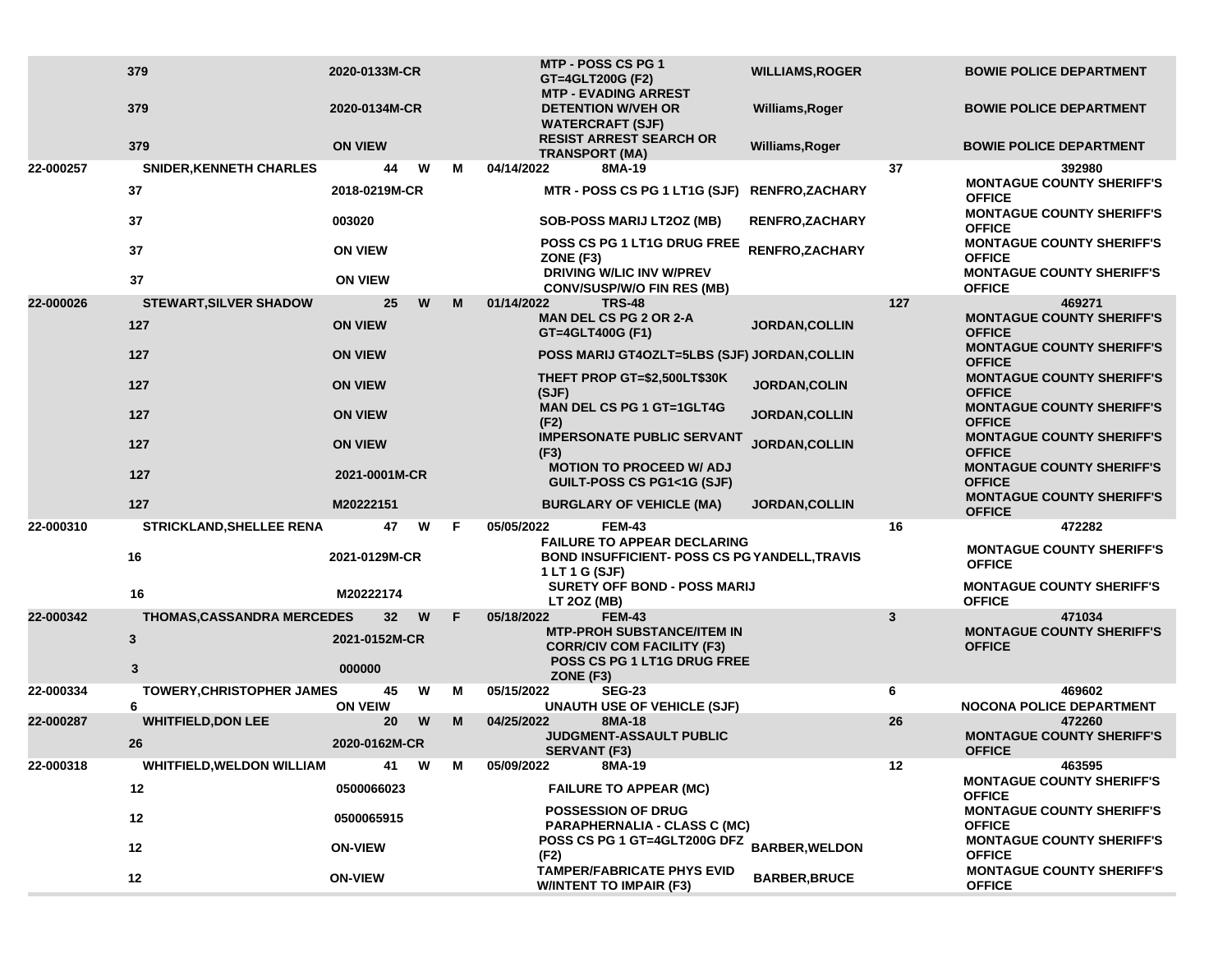|           | 379<br>379                            | 2020-0133M-CR<br>2020-0134M-CR |    | MTP - POSS CS PG 1<br>GT=4GLT200G (F2)<br><b>MTP - EVADING ARREST</b><br><b>DETENTION W/VEH OR</b><br><b>WATERCRAFT (SJF)</b> | <b>WILLIAMS, ROGER</b><br>Williams, Roger |     | <b>BOWIE POLICE DEPARTMENT</b><br><b>BOWIE POLICE DEPARTMENT</b>                      |
|-----------|---------------------------------------|--------------------------------|----|-------------------------------------------------------------------------------------------------------------------------------|-------------------------------------------|-----|---------------------------------------------------------------------------------------|
|           | 379                                   | <b>ON VIEW</b>                 |    | <b>RESIST ARREST SEARCH OR</b><br><b>TRANSPORT (MA)</b>                                                                       | Williams, Roger                           |     | <b>BOWIE POLICE DEPARTMENT</b>                                                        |
| 22-000257 | <b>SNIDER, KENNETH CHARLES</b>        | 44<br>W                        | м  | 04/14/2022<br>8MA-19                                                                                                          |                                           | 37  | 392980                                                                                |
|           | 37                                    | 2018-0219M-CR                  |    | MTR - POSS CS PG 1 LT1G (SJF)                                                                                                 | <b>RENFRO,ZACHARY</b>                     |     | <b>MONTAGUE COUNTY SHERIFF'S</b><br><b>OFFICE</b>                                     |
|           | 37                                    | 003020                         |    | <b>SOB-POSS MARIJ LT2OZ (MB)</b>                                                                                              | <b>RENFRO, ZACHARY</b>                    |     | <b>MONTAGUE COUNTY SHERIFF'S</b><br><b>OFFICE</b>                                     |
|           | 37                                    | <b>ON VIEW</b>                 |    | POSS CS PG 1 LT1G DRUG FREE<br>ZONE (F3)                                                                                      | RENFRO, ZACHARY                           |     | <b>MONTAGUE COUNTY SHERIFF'S</b><br><b>OFFICE</b>                                     |
|           | 37                                    | <b>ON VIEW</b>                 |    | <b>DRIVING W/LIC INV W/PREV</b><br><b>CONV/SUSP/W/O FIN RES (MB)</b>                                                          |                                           |     | <b>MONTAGUE COUNTY SHERIFF'S</b><br><b>OFFICE</b>                                     |
| 22-000026 | <b>STEWART, SILVER SHADOW</b>         | 25<br>W                        | M  | 01/14/2022<br><b>TRS-48</b>                                                                                                   |                                           | 127 | 469271                                                                                |
|           | 127                                   | <b>ON VIEW</b>                 |    | <b>MAN DEL CS PG 2 OR 2-A</b><br>GT=4GLT400G (F1)                                                                             | <b>JORDAN, COLLIN</b>                     |     | <b>MONTAGUE COUNTY SHERIFF'S</b><br><b>OFFICE</b><br><b>MONTAGUE COUNTY SHERIFF'S</b> |
|           | 127                                   | <b>ON VIEW</b>                 |    | POSS MARIJ GT4OZLT=5LBS (SJF) JORDAN, COLLIN                                                                                  |                                           |     | <b>OFFICE</b>                                                                         |
|           | 127                                   | <b>ON VIEW</b>                 |    | THEFT PROP GT=\$2,500LT\$30K<br>(SJF)                                                                                         | JORDAN, COLIN                             |     | <b>MONTAGUE COUNTY SHERIFF'S</b><br><b>OFFICE</b>                                     |
|           | 127                                   | <b>ON VIEW</b>                 |    | <b>MAN DEL CS PG 1 GT=1GLT4G</b><br>(F2)                                                                                      | JORDAN, COLLIN                            |     | <b>MONTAGUE COUNTY SHERIFF'S</b><br><b>OFFICE</b>                                     |
|           | 127                                   | <b>ON VIEW</b>                 |    | <b>IMPERSONATE PUBLIC SERVANT</b><br>(F3)                                                                                     | <b>JORDAN, COLLIN</b>                     |     | <b>MONTAGUE COUNTY SHERIFF'S</b><br><b>OFFICE</b>                                     |
|           | 127                                   | 2021-0001M-CR                  |    | <b>MOTION TO PROCEED W/ ADJ</b><br>GUILT-POSS CS PG1<1G (SJF)                                                                 |                                           |     | <b>MONTAGUE COUNTY SHERIFF'S</b><br><b>OFFICE</b><br><b>MONTAGUE COUNTY SHERIFF'S</b> |
|           | 127                                   | M20222151                      |    | <b>BURGLARY OF VEHICLE (MA)</b>                                                                                               | <b>JORDAN,COLLIN</b>                      |     | <b>OFFICE</b>                                                                         |
| 22-000310 | STRICKLAND, SHELLEE RENA              | W<br>47                        | F. | <b>FEM-43</b><br>05/05/2022<br><b>FAILURE TO APPEAR DECLARING</b>                                                             |                                           | 16  | 472282                                                                                |
|           | 16                                    | 2021-0129M-CR                  |    | <b>BOND INSUFFICIENT- POSS CS PG YANDELL, TRAVIS</b><br>1 LT 1 G (SJF)                                                        |                                           |     | <b>MONTAGUE COUNTY SHERIFF'S</b><br><b>OFFICE</b>                                     |
|           | 16                                    | M20222174                      |    | <b>SURETY OFF BOND - POSS MARIJ</b><br>LT 20Z (MB)                                                                            |                                           |     | <b>MONTAGUE COUNTY SHERIFF'S</b><br><b>OFFICE</b>                                     |
| 22-000342 | <b>THOMAS, CASSANDRA MERCEDES</b>     | 32 <sub>2</sub><br>W           | F  | <b>FEM-43</b><br>05/18/2022                                                                                                   |                                           | 3   | 471034                                                                                |
|           | 3<br>3                                | 2021-0152M-CR                  |    | <b>MTP-PROH SUBSTANCE/ITEM IN</b><br><b>CORR/CIV COM FACILITY (F3)</b><br>POSS CS PG 1 LT1G DRUG FREE                         |                                           |     | <b>MONTAGUE COUNTY SHERIFF'S</b><br><b>OFFICE</b>                                     |
|           |                                       | 000000<br>45<br>W              |    | ZONE (F3)<br><b>SEG-23</b>                                                                                                    |                                           |     | 469602                                                                                |
| 22-000334 | <b>TOWERY, CHRISTOPHER JAMES</b><br>6 | <b>ON VEIW</b>                 | м  | 05/15/2022<br><b>UNAUTH USE OF VEHICLE (SJF)</b>                                                                              |                                           | 6   | <b>NOCONA POLICE DEPARTMENT</b>                                                       |
| 22-000287 | <b>WHITFIELD, DON LEE</b>             | W<br>20                        | M  | 04/25/2022<br>8MA-18<br>JUDGMENT-ASSAULT PUBLIC                                                                               |                                           | 26  | 472260<br><b>MONTAGUE COUNTY SHERIFF'S</b>                                            |
|           | 26                                    | 2020-0162M-CR                  |    | <b>SERVANT (F3)</b>                                                                                                           |                                           |     | <b>OFFICE</b>                                                                         |
| 22-000318 | <b>WHITFIELD, WELDON WILLIAM</b>      | W<br>41                        | М  | 05/09/2022<br>8MA-19                                                                                                          |                                           | 12  | 463595<br><b>MONTAGUE COUNTY SHERIFF'S</b>                                            |
|           | 12                                    | 0500066023                     |    | <b>FAILURE TO APPEAR (MC)</b>                                                                                                 |                                           |     | <b>OFFICE</b>                                                                         |
|           | 12                                    | 0500065915                     |    | <b>POSSESSION OF DRUG</b><br><b>PARAPHERNALIA - CLASS C (MC)</b>                                                              |                                           |     | <b>MONTAGUE COUNTY SHERIFF'S</b><br><b>OFFICE</b>                                     |
|           | 12                                    | <b>ON-VIEW</b>                 |    | POSS CS PG 1 GT=4GLT200G DFZ BARBER, WELDON<br>(F2)                                                                           |                                           |     | <b>MONTAGUE COUNTY SHERIFF'S</b><br><b>OFFICE</b>                                     |
|           | 12                                    | <b>ON-VIEW</b>                 |    | <b>TAMPER/FABRICATE PHYS EVID</b><br><b>W/INTENT TO IMPAIR (F3)</b>                                                           | <b>BARBER, BRUCE</b>                      |     | <b>MONTAGUE COUNTY SHERIFF'S</b><br><b>OFFICE</b>                                     |